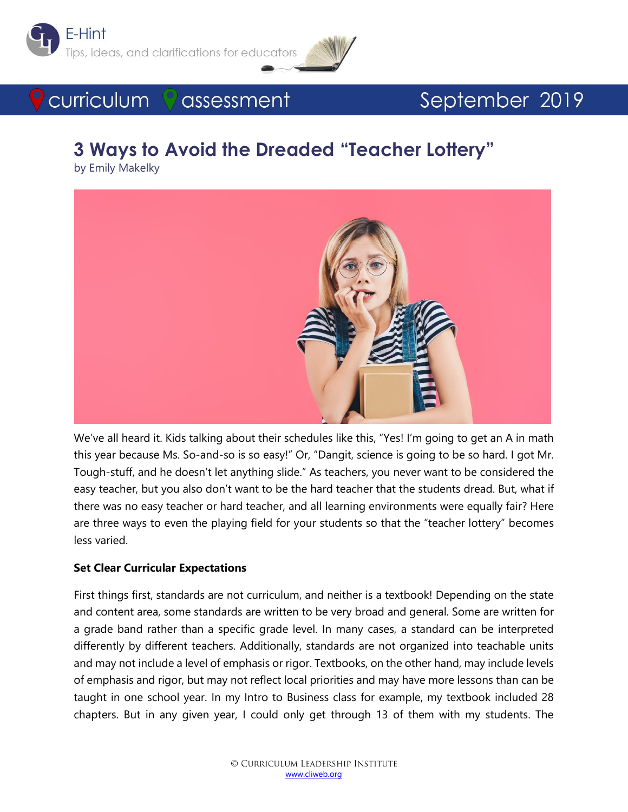



# September 2019

# **3 Ways to Avoid the Dreaded "Teacher Lottery"**

assessment

by Emily Makelky

**C** curriculum



We've all heard it. Kids talking about their schedules like this, "Yes! I'm going to get an A in math this year because Ms. So-and-so is so easy!" Or, "Dangit, science is going to be so hard. I got Mr. Tough-stuff, and he doesn't let anything slide." As teachers, you never want to be considered the easy teacher, but you also don't want to be the hard teacher that the students dread. But, what if there was no easy teacher or hard teacher, and all learning environments were equally fair? Here are three ways to even the playing field for your students so that the "teacher lottery" becomes less varied.

#### **Set Clear Curricular Expectations**

First things first, standards are not curriculum, and neither is a textbook! Depending on the state and content area, some standards are written to be very broad and general. Some are written for a grade band rather than a specific grade level. In many cases, a standard can be interpreted differently by different teachers. Additionally, standards are not organized into teachable units and may not include a level of emphasis or rigor. Textbooks, on the other hand, may include levels of emphasis and rigor, but may not reflect local priorities and may have more lessons than can be taught in one school year. In my Intro to Business class for example, my textbook included 28 chapters. But in any given year, I could only get through 13 of them with my students. The